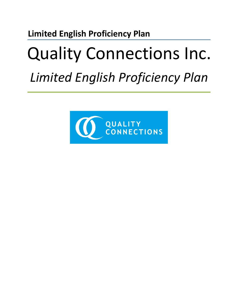## **Limited English Proficiency Plan**

## Quality Connections Inc. *Limited English Proficiency Plan*

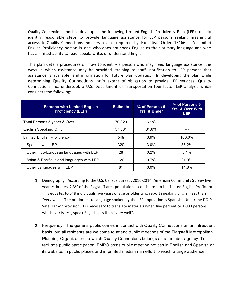Quality Connections Inc. has developed the following Limited English Proficiency Plan (LEP) to help identify reasonable steps to provide language assistance for LEP persons seeking meaningful access to Quality Connections Inc. services as required by Executive Order 13166. A Limited English Proficiency person is one who does not speak English as their primary language and who has a limited ability to read, speak, write, or understand English.

This plan details procedures on how to identify a person who may need language assistance, the ways in which assistance may be provided, training to staff, notification to LEP persons that assistance is available, and information for future plan updates. In developing the plan while determining Quality Connections Inc.'s extent of obligation to provide LEP services, Quality Connections Inc. undertook a U.S. Department of Transportation four-factor LEP analysis which considers the following:

| <b>Persons with Limited English</b><br><b>Proficiency (LEP)</b> | <b>Estimate</b> | % of Persons 5<br><b>Yrs. &amp; Under</b> | % of Persons 5<br><b>Yrs. &amp; Over With</b><br><b>LEP</b> |
|-----------------------------------------------------------------|-----------------|-------------------------------------------|-------------------------------------------------------------|
| Total Persons 5 years & Over                                    | 70.320          | $6.1\%$                                   |                                                             |
| <b>English Speaking Only</b>                                    | 57.381          | 81.6%                                     |                                                             |
| <b>Limited English Proficiency</b>                              | 549             | 3.9%                                      | 100.0%                                                      |
| Spanish with LEP                                                | 320             | $3.0\%$                                   | 58.2%                                                       |
| Other Indo-European languages with LEP                          | 28              | $0.2\%$                                   | 5.1%                                                        |
| Asian & Pacific Island languages with LEP                       | 120             | 0.7%                                      | 21.9%                                                       |
| Other Languages with LEP                                        | 81              | $0.0\%$                                   | 14.8%                                                       |

- 1. Demography. According to the U.S. Census Bureau, 2010-2014, American Community Survey five year estimates, 2.3% of the Flagstaff area population is considered to be Limited English Proficient. This equates to 549 individuals five years of age or older who report speaking English less than "very well". The predominate language spoken by the LEP population is Spanish. Under the DOJ's Safe Harbor provision, it is necessary to translate materials when five percent or 1,000 persons, whichever is less, speak English less than "very well".
- 2. Frequency: The general public comes in contact with Quality Connections on an infrequent basis, but all residents are welcome to attend public meetings of the Flagstaff Metropolitan Planning Organization, to which Quality Connectons belongs as a member agency. To facilitate public participation, FMPO posts public meeting notices in English and Spanish on its website, in public places and in printed media in an effort to reach a large audience.